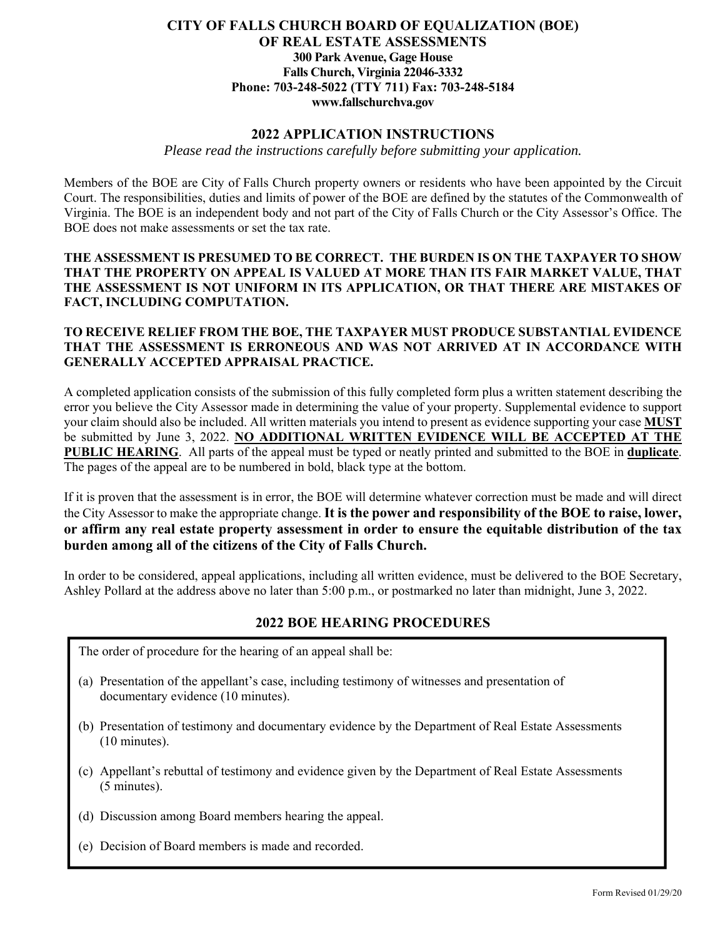### **CITY OF FALLS CHURCH BOARD OF EQUALIZATION (BOE) OF REAL ESTATE ASSESSMENTS 300 Park Avenue, Gage House Falls Church, Virginia 22046-3332 Phone: 703-248-5022 (TTY 711) Fax: 703-248-5184 www.fallschurchva.gov**

### **2022 APPLICATION INSTRUCTIONS**

*Please read the instructions carefully before submitting your application.* 

Members of the BOE are City of Falls Church property owners or residents who have been appointed by the Circuit Court. The responsibilities, duties and limits of power of the BOE are defined by the statutes of the Commonwealth of Virginia. The BOE is an independent body and not part of the City of Falls Church or the City Assessor's Office. The BOE does not make assessments or set the tax rate.

**THE ASSESSMENT IS PRESUMED TO BE CORRECT. THE BURDEN IS ON THE TAXPAYER TO SHOW THAT THE PROPERTY ON APPEAL IS VALUED AT MORE THAN ITS FAIR MARKET VALUE, THAT THE ASSESSMENT IS NOT UNIFORM IN ITS APPLICATION, OR THAT THERE ARE MISTAKES OF FACT, INCLUDING COMPUTATION.** 

### **TO RECEIVE RELIEF FROM THE BOE, THE TAXPAYER MUST PRODUCE SUBSTANTIAL EVIDENCE THAT THE ASSESSMENT IS ERRONEOUS AND WAS NOT ARRIVED AT IN ACCORDANCE WITH GENERALLY ACCEPTED APPRAISAL PRACTICE.**

A completed application consists of the submission of this fully completed form plus a written statement describing the error you believe the City Assessor made in determining the value of your property. Supplemental evidence to support your claim should also be included. All written materials you intend to present as evidence supporting your case **MUST** be submitted by June 3, 2022. **NO ADDITIONAL WRITTEN EVIDENCE WILL BE ACCEPTED AT THE PUBLIC HEARING**. All parts of the appeal must be typed or neatly printed and submitted to the BOE in **duplicate**. The pages of the appeal are to be numbered in bold, black type at the bottom.

If it is proven that the assessment is in error, the BOE will determine whatever correction must be made and will direct the City Assessor to make the appropriate change. **It is the power and responsibility of the BOE to raise, lower, or affirm any real estate property assessment in order to ensure the equitable distribution of the tax burden among all of the citizens of the City of Falls Church.** 

In order to be considered, appeal applications, including all written evidence, must be delivered to the BOE Secretary, Ashley Pollard at the address above no later than 5:00 p.m., or postmarked no later than midnight, June 3, 2022.

## **2022 BOE HEARING PROCEDURES**

The order of procedure for the hearing of an appeal shall be:

- (a) Presentation of the appellant's case, including testimony of witnesses and presentation of documentary evidence (10 minutes).
- (b) Presentation of testimony and documentary evidence by the Department of Real Estate Assessments (10 minutes).
- (c) Appellant's rebuttal of testimony and evidence given by the Department of Real Estate Assessments (5 minutes).
- (d) Discussion among Board members hearing the appeal.
- (e) Decision of Board members is made and recorded.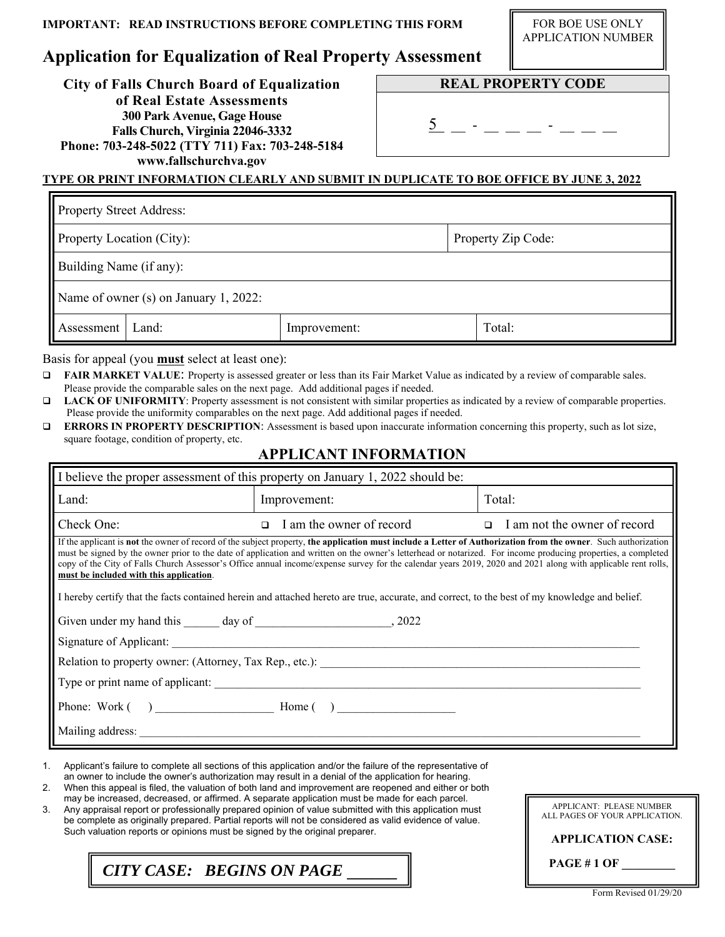**Application for Equalization of Real Property Assessment** 

FOR BOE USE ONLY APPLICATION NUMBER

**City of Falls Church Board of Equalization of Real Estate Assessments 300 Park Avenue, Gage House Falls Church, Virginia 22046-3332 Phone: 703-248-5022 (TTY 711) Fax: 703-248-5184 www.fallschurchva.gov** 

**REAL PROPERTY CODE** 

 $\frac{5}{2}$   $-$  -  $-$  -  $-$  -  $-$ 

### **TYPE OR PRINT INFORMATION CLEARLY AND SUBMIT IN DUPLICATE TO BOE OFFICE BY JUNE 3, 2022**

| <b>Property Street Address:</b>       |       |              |  |                    |  |  |
|---------------------------------------|-------|--------------|--|--------------------|--|--|
| Property Location (City):             |       |              |  | Property Zip Code: |  |  |
| Building Name (if any):               |       |              |  |                    |  |  |
| Name of owner (s) on January 1, 2022: |       |              |  |                    |  |  |
| Assessment                            | Land: | Improvement: |  | Total:             |  |  |

Basis for appeal (you **must** select at least one):

- **FAIR MARKET VALUE**: Property is assessed greater or less than its Fair Market Value as indicated by a review of comparable sales. Please provide the comparable sales on the next page. Add additional pages if needed.
- **LACK OF UNIFORMITY**: Property assessment is not consistent with similar properties as indicated by a review of comparable properties. Please provide the uniformity comparables on the next page. Add additional pages if needed.
- **ERRORS IN PROPERTY DESCRIPTION**: Assessment is based upon inaccurate information concerning this property, such as lot size, square footage, condition of property, etc.

### **APPLICANT INFORMATION**

| I believe the proper assessment of this property on January 1, 2022 should be:                                                                                                                                                                                                                                                                                                                                                                                                                                                                                                                                                                                                              |                                    |                                        |  |  |  |  |  |
|---------------------------------------------------------------------------------------------------------------------------------------------------------------------------------------------------------------------------------------------------------------------------------------------------------------------------------------------------------------------------------------------------------------------------------------------------------------------------------------------------------------------------------------------------------------------------------------------------------------------------------------------------------------------------------------------|------------------------------------|----------------------------------------|--|--|--|--|--|
| Land:                                                                                                                                                                                                                                                                                                                                                                                                                                                                                                                                                                                                                                                                                       | Improvement:                       | Total:                                 |  |  |  |  |  |
| Check One:                                                                                                                                                                                                                                                                                                                                                                                                                                                                                                                                                                                                                                                                                  | I am the owner of record<br>$\Box$ | I am not the owner of record<br>$\Box$ |  |  |  |  |  |
| If the applicant is not the owner of record of the subject property, the application must include a Letter of Authorization from the owner. Such authorization<br>must be signed by the owner prior to the date of application and written on the owner's letterhead or notarized. For income producing properties, a completed<br>copy of the City of Falls Church Assessor's Office annual income/expense survey for the calendar years 2019, 2020 and 2021 along with applicable rent rolls,<br>must be included with this application.<br>I hereby certify that the facts contained herein and attached hereto are true, accurate, and correct, to the best of my knowledge and belief. |                                    |                                        |  |  |  |  |  |
|                                                                                                                                                                                                                                                                                                                                                                                                                                                                                                                                                                                                                                                                                             |                                    |                                        |  |  |  |  |  |
|                                                                                                                                                                                                                                                                                                                                                                                                                                                                                                                                                                                                                                                                                             |                                    |                                        |  |  |  |  |  |
| Relation to property owner: (Attorney, Tax Rep., etc.):                                                                                                                                                                                                                                                                                                                                                                                                                                                                                                                                                                                                                                     |                                    |                                        |  |  |  |  |  |
| Type or print name of applicant:                                                                                                                                                                                                                                                                                                                                                                                                                                                                                                                                                                                                                                                            |                                    |                                        |  |  |  |  |  |
|                                                                                                                                                                                                                                                                                                                                                                                                                                                                                                                                                                                                                                                                                             |                                    |                                        |  |  |  |  |  |
| Mailing address:                                                                                                                                                                                                                                                                                                                                                                                                                                                                                                                                                                                                                                                                            |                                    |                                        |  |  |  |  |  |

1. Applicant's failure to complete all sections of this application and/or the failure of the representative of an owner to include the owner's authorization may result in a denial of the application for hearing.

2. When this appeal is filed, the valuation of both land and improvement are reopened and either or both

may be increased, decreased, or affirmed. A separate application must be made for each parcel.

3. Any appraisal report or professionally prepared opinion of value submitted with this application must be complete as originally prepared. Partial reports will not be considered as valid evidence of value. Such valuation reports or opinions must be signed by the original preparer.

**PAGE # 1 OF \_\_\_\_\_\_\_\_\_** *CITY CASE: BEGINS ON PAGE* **\_\_\_\_\_\_**

APPLICANT: PLEASE NUMBER ALL PAGES OF YOUR APPLICATION. **APPLICATION CASE:**